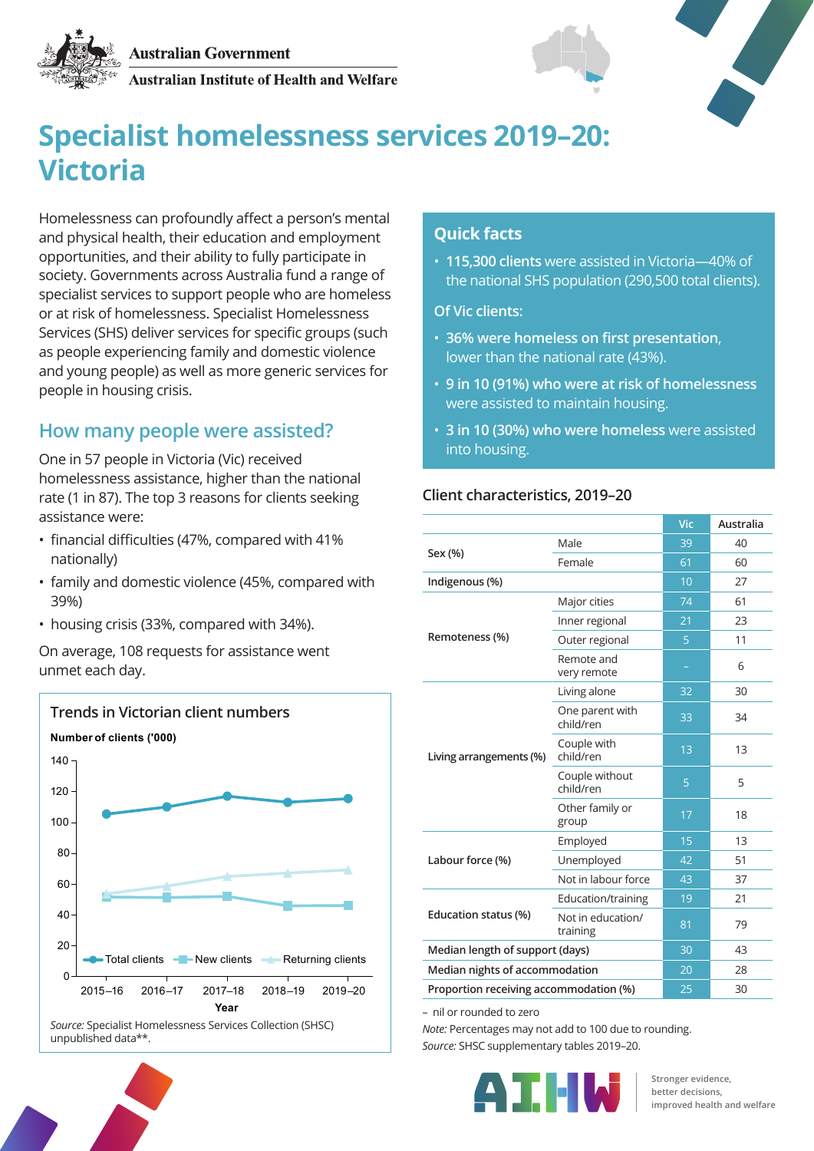

Australian Institute of Health and Welfare



# **Specialist homelessness services 2019–20: Victoria**

Homelessness can profoundly affect a person's mental and physical health, their education and employment opportunities, and their ability to fully participate in society. Governments across Australia fund a range of specialist services to support people who are homeless or at risk of homelessness. Specialist Homelessness Services (SHS) deliver services for specific groups (such as people experiencing family and domestic violence and young people) as well as more generic services for people in housing crisis.

#### **How many people were assisted?**

One in 57 people in Victoria (Vic) received homelessness assistance, higher than the national rate (1 in 87). The top 3 reasons for clients seeking assistance were:

- financial difficulties (47%, compared with 41% nationally)
- family and domestic violence (45%, compared with 39%)
- housing crisis (33%, compared with 34%).

On average, 108 requests for assistance went unmet each day.



## unpublished data\*\*.



• **115,300 clients** were assisted in Victoria—40% of the national SHS population (290,500 total clients).

**Of Vic clients:**

- **36% were homeless on first presentation**, lower than the national rate (43%).
- **9 in 10 (91%) who were at risk of homelessness** were assisted to maintain housing.
- **3 in 10 (30%) who were homeless** were assisted into housing.

#### **Client characteristics, 2019–20**

|                                        |                               | Vic | Australia |
|----------------------------------------|-------------------------------|-----|-----------|
| Sex (%)                                | Male                          | 39  | 40        |
|                                        | Female                        | 61  | 60        |
| Indigenous (%)                         |                               | 10  | 27        |
| Remoteness (%)                         | Major cities                  | 74  | 61        |
|                                        | Inner regional                | 21  | 23        |
|                                        | Outer regional                | 5   | 11        |
|                                        | Remote and<br>very remote     |     | 6         |
| Living arrangements (%)                | Living alone                  | 32  | 30        |
|                                        | One parent with<br>child/ren  | 33  | 34        |
|                                        | Couple with<br>child/ren      | 13  | 13        |
|                                        | Couple without<br>child/ren   | 5   | 5         |
|                                        | Other family or<br>group      | 17  | 18        |
| Labour force (%)                       | Employed                      | 15  | 13        |
|                                        | Unemployed                    | 42  | 51        |
|                                        | Not in labour force           | 43  | 37        |
| Education status (%)                   | Education/training            | 19  | 21        |
|                                        | Not in education/<br>training | 81  | 79        |
| Median length of support (days)        |                               | 30  | 43        |
| Median nights of accommodation         |                               | 20  | 28        |
| Proportion receiving accommodation (%) |                               | 25  | 30        |

– nil or rounded to zero

*Note:* Percentages may not add to 100 due to rounding. *Source:* SHSC supplementary tables 2019–20.



**Stronger evidence, better decisions, improved health and welfare**